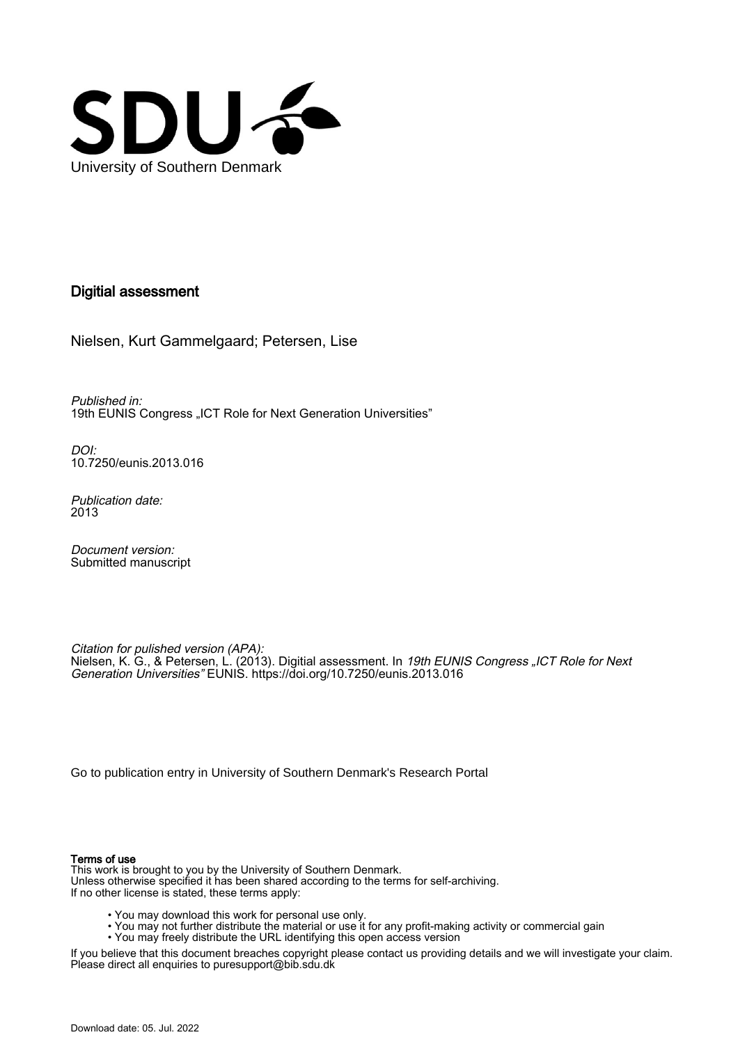

### Digitial assessment

Nielsen, Kurt Gammelgaard; Petersen, Lise

Published in: 19th EUNIS Congress "ICT Role for Next Generation Universities"

DOI: [10.7250/eunis.2013.016](https://doi.org/10.7250/eunis.2013.016)

Publication date: 2013

Document version: Submitted manuscript

Citation for pulished version (APA): Nielsen, K. G., & Petersen, L. (2013). Digitial assessment. In *19th EUNIS Congress "ICT Role for Next* Generation Universities" EUNIS.<https://doi.org/10.7250/eunis.2013.016>

[Go to publication entry in University of Southern Denmark's Research Portal](https://portal.findresearcher.sdu.dk/en/publications/a80ab2f1-29cf-4282-8be2-b26a9a1b9a96)

#### Terms of use

This work is brought to you by the University of Southern Denmark. Unless otherwise specified it has been shared according to the terms for self-archiving. If no other license is stated, these terms apply:

- You may download this work for personal use only.
- You may not further distribute the material or use it for any profit-making activity or commercial gain
- You may freely distribute the URL identifying this open access version

If you believe that this document breaches copyright please contact us providing details and we will investigate your claim. Please direct all enquiries to puresupport@bib.sdu.dk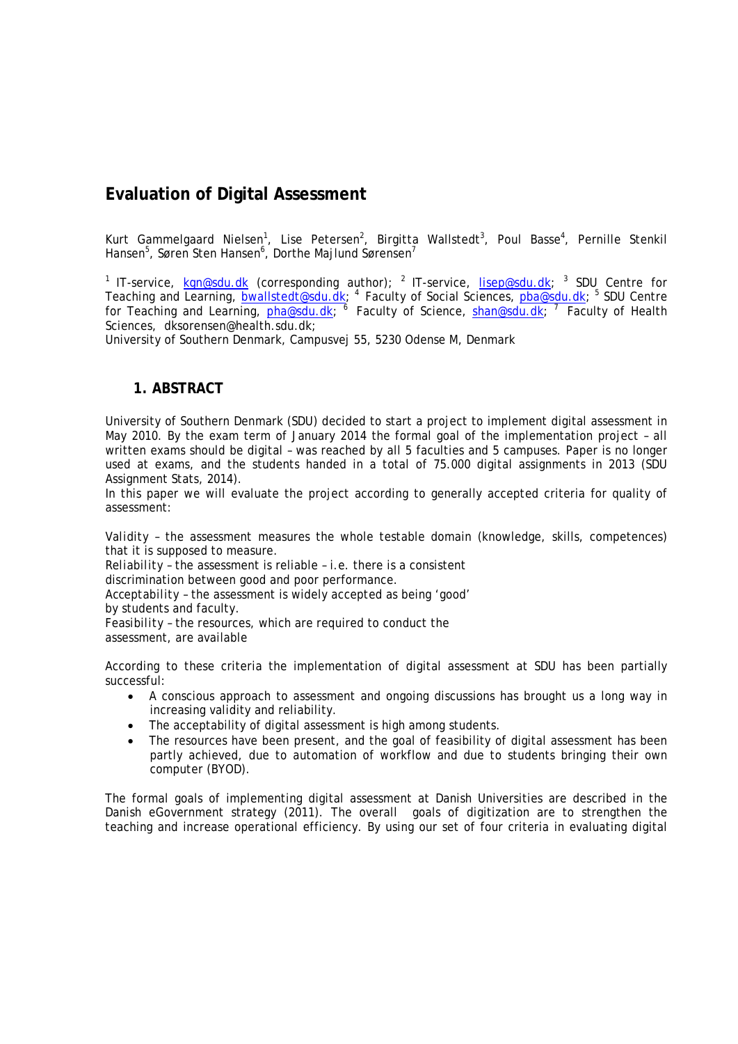# **Evaluation of Digital Assessment**

Kurt Gammelgaard Nielsen<sup>1</sup>, Lise Petersen<sup>2</sup>, Birgitta Wallstedt<sup>3</sup>, Poul Basse<sup>4</sup>, Pernille Stenkil Hansen $^5$ , Søren Sten Hansen $^6$ , Dorthe Majlund Sørensen $^7$ 

<sup>1</sup> IT-service,  $kgn@sdu.dk$  (corresponding author); <sup>2</sup> IT-service,  $lisep@sdu.dk;$  <sup>3</sup> SDU Centre for Teaching and Learning, <u>bwallstedt@sdu.dk</u>; <sup>4</sup> Faculty of Social Sciences, <u>pba@sdu.dk</u>; <sup>5</sup> SDU Centre for Teaching and Learning, <u>pha@sdu.dk; 6</u> Faculty of Science, <u>shan@sdu.dk</u>; <sup>7</sup> Faculty of Health Sciences, dksorensen@health.sdu.dk;

University of Southern Denmark, Campusvej 55, 5230 Odense M, Denmark

### **1. ABSTRACT**

University of Southern Denmark (SDU) decided to start a project to implement digital assessment in May 2010. By the exam term of January 2014 the formal goal of the implementation project – all written exams should be digital – was reached by all 5 faculties and 5 campuses. Paper is no longer used at exams, and the students handed in a total of 75.000 digital assignments in 2013 (SDU Assignment Stats, 2014).

In this paper we will evaluate the project according to generally accepted criteria for quality of assessment:

*Validity* – the assessment measures the whole testable domain (knowledge, skills, competences) that it is supposed to measure.

*Reliability* – the assessment is reliable – i.e. there is a consistent

discrimination between good and poor performance.

*Acceptability* – the assessment is widely accepted as being 'good'

by students and faculty.

*Feasibility* – the resources, which are required to conduct the assessment, are available

According to these criteria the implementation of digital assessment at SDU has been partially successful:

- A conscious approach to assessment and ongoing discussions has brought us a long way in increasing validity and reliability.
- The acceptability of digital assessment is high among students.
- The resources have been present, and the goal of feasibility of digital assessment has been partly achieved, due to automation of workflow and due to students bringing their own computer (BYOD).

The formal goals of implementing digital assessment at Danish Universities are described in the Danish eGovernment strategy (2011). The overall goals of digitization are to strengthen the teaching and increase operational efficiency. By using our set of four criteria in evaluating digital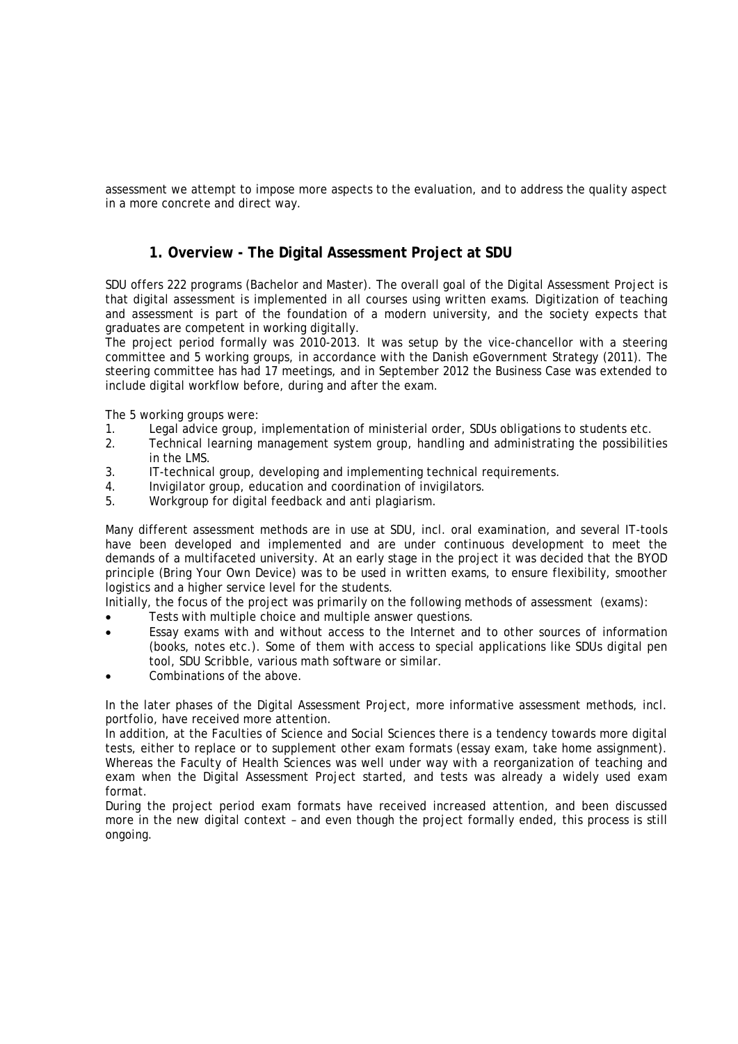assessment we attempt to impose more aspects to the evaluation, and to address the quality aspect in a more concrete and direct way.

# **1. Overview - The Digital Assessment Project at SDU**

SDU offers 222 programs (Bachelor and Master). The overall goal of the Digital Assessment Project is that digital assessment is implemented in all courses using written exams. Digitization of teaching and assessment is part of the foundation of a modern university, and the society expects that graduates are competent in working digitally.

The project period formally was 2010-2013. It was setup by the vice-chancellor with a steering committee and 5 working groups, in accordance with the Danish eGovernment Strategy (2011). The steering committee has had 17 meetings, and in September 2012 the Business Case was extended to include digital workflow before, during and after the exam.

The 5 working groups were:<br>1. Legal advice group.

- 1. Legal advice group, implementation of ministerial order, SDUs obligations to students etc.<br>2. Technical learning management system group, handling and administrating the possibiliti
- 2. Technical learning management system group, handling and administrating the possibilities in the LMS.
- 3. IT-technical group, developing and implementing technical requirements.
- 4. Invigilator group, education and coordination of invigilators.
- 5. Workgroup for digital feedback and anti plagiarism.

Many different assessment methods are in use at SDU, incl. oral examination, and several IT-tools have been developed and implemented and are under continuous development to meet the demands of a multifaceted university. At an early stage in the project it was decided that the BYOD principle (Bring Your Own Device) was to be used in written exams, to ensure flexibility, smoother logistics and a higher service level for the students.

Initially, the focus of the project was primarily on the following methods of assessment (exams):

- Tests with multiple choice and multiple answer questions.
- Essay exams with and without access to the Internet and to other sources of information (books, notes etc.). Some of them with access to special applications like SDUs digital pen tool, SDU Scribble, various math software or similar.
- Combinations of the above.

In the later phases of the Digital Assessment Project, more informative assessment methods, incl. portfolio, have received more attention.

In addition, at the Faculties of Science and Social Sciences there is a tendency towards more digital tests, either to replace or to supplement other exam formats (essay exam, take home assignment). Whereas the Faculty of Health Sciences was well under way with a reorganization of teaching and exam when the Digital Assessment Project started, and tests was already a widely used exam format.

During the project period exam formats have received increased attention, and been discussed more in the new digital context – and even though the project formally ended, this process is still ongoing.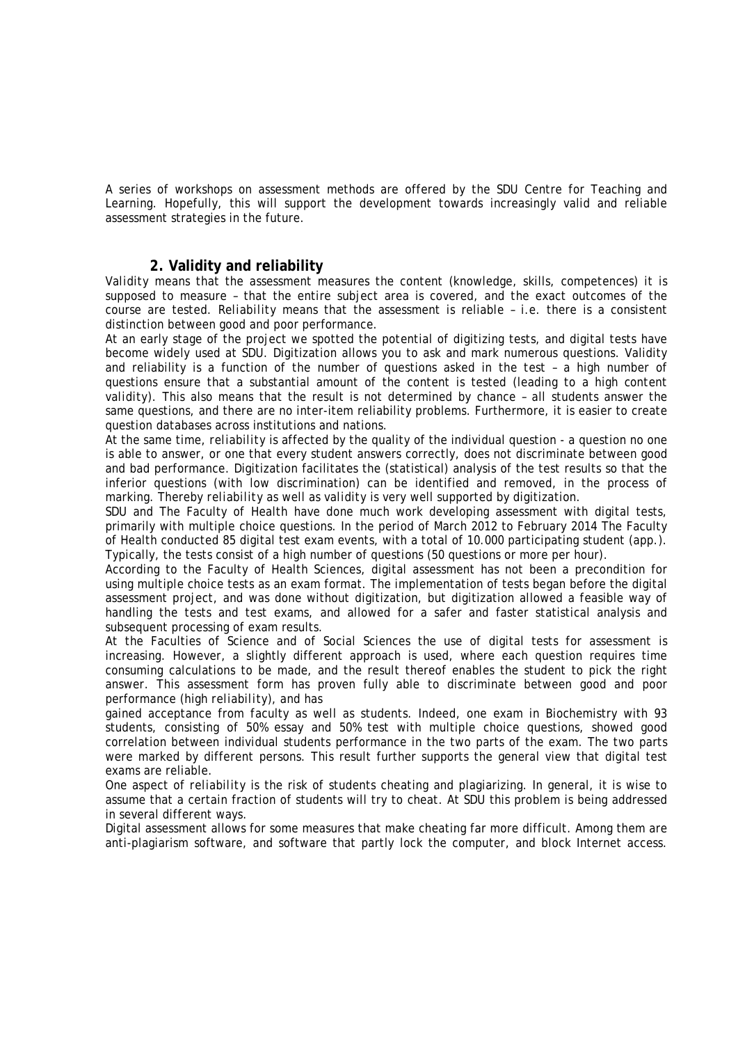A series of workshops on assessment methods are offered by the SDU Centre for Teaching and Learning. Hopefully, this will support the development towards increasingly valid and reliable assessment strategies in the future.

### **2. Validity and reliability**

*Validity* means that the assessment measures the content (knowledge, skills, competences) it is supposed to measure – that the entire subject area is covered, and the exact outcomes of the course are tested. *Reliability* means that the assessment is reliable – i.e. there is a consistent distinction between good and poor performance.

At an early stage of the project we spotted the potential of digitizing tests, and digital tests have become widely used at SDU. Digitization allows you to ask and mark numerous questions. Validity and reliability is a function of the number of questions asked in the test – a high number of questions ensure that a substantial amount of the content is tested (leading to a high *content validity*). This also means that the result is not determined by chance – all students answer the same questions, and there are no inter-item reliability problems. Furthermore, it is easier to create question databases across institutions and nations.

At the same time, *reliability* is affected by the quality of the individual question - a question no one is able to answer, or one that every student answers correctly, does not discriminate between good and bad performance. Digitization facilitates the (statistical) analysis of the test results so that the inferior questions (with low discrimination) can be identified and removed, in the process of marking. Thereby *reliability* as well as *validity* is very well supported by digitization.

SDU and The Faculty of Health have done much work developing assessment with digital tests, primarily with multiple choice questions. In the period of March 2012 to February 2014 The Faculty of Health conducted 85 digital test exam events, with a total of 10.000 participating student (app.). Typically, the tests consist of a high number of questions (50 questions or more per hour).

According to the Faculty of Health Sciences, digital assessment has not been a precondition for using multiple choice tests as an exam format. The implementation of tests began before the digital assessment project, and was done without digitization, but digitization allowed a feasible way of handling the tests and test exams, and allowed for a safer and faster statistical analysis and subsequent processing of exam results.

At the Faculties of Science and of Social Sciences the use of digital tests for assessment is increasing. However, a slightly different approach is used, where each question requires time consuming calculations to be made, and the result thereof enables the student to pick the right answer. This assessment form has proven fully able to discriminate between good and poor performance (high *reliability*), and has

gained acceptance from faculty as well as students. Indeed, one exam in Biochemistry with 93 students, consisting of 50% essay and 50% test with multiple choice questions, showed good correlation between individual students performance in the two parts of the exam. The two parts were marked by different persons. This result further supports the general view that digital test exams are reliable.

One aspect of *reliability* is the risk of students cheating and plagiarizing. In general, it is wise to assume that a certain fraction of students will try to cheat. At SDU this problem is being addressed in several different ways.

Digital assessment allows for some measures that make cheating far more difficult. Among them are anti-plagiarism software, and software that partly lock the computer, and block Internet access.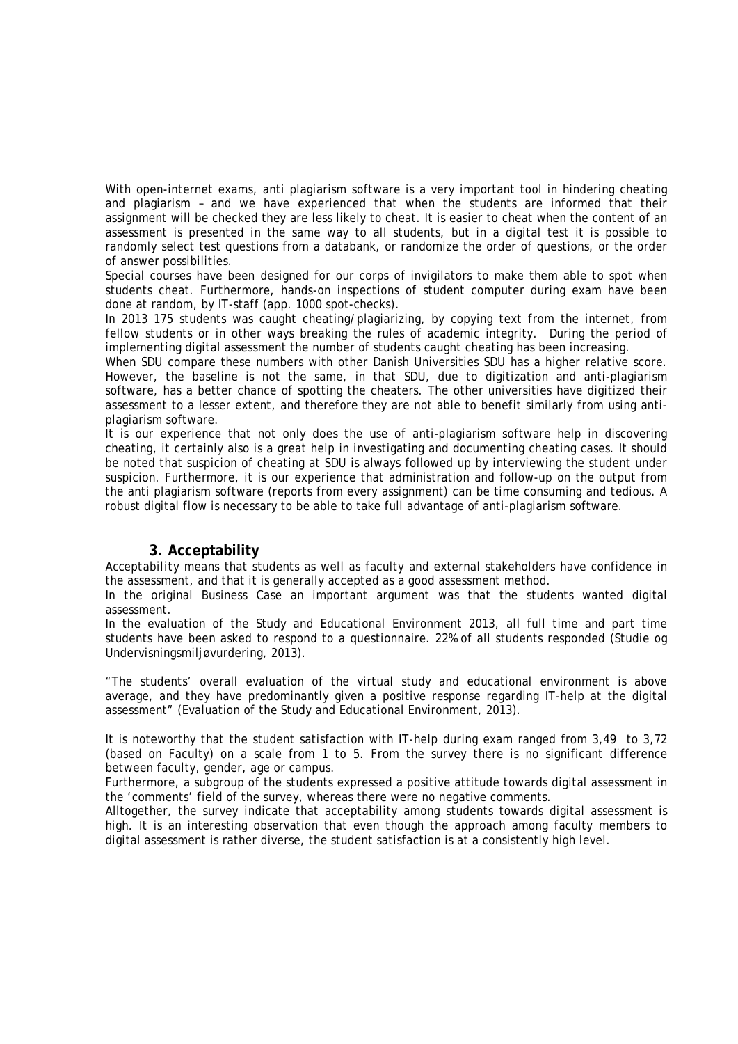With open-internet exams, anti plagiarism software is a very important tool in hindering cheating and plagiarism – and we have experienced that when the students are informed that their assignment will be checked they are less likely to cheat. It is easier to cheat when the content of an assessment is presented in the same way to all students, but in a digital test it is possible to randomly select test questions from a databank, or randomize the order of questions, or the order of answer possibilities.

Special courses have been designed for our corps of invigilators to make them able to spot when students cheat. Furthermore, hands-on inspections of student computer during exam have been done at random, by IT-staff (app. 1000 spot-checks).

In 2013 175 students was caught cheating/plagiarizing, by copying text from the internet, from fellow students or in other ways breaking the rules of academic integrity. During the period of implementing digital assessment the number of students caught cheating has been increasing.

When SDU compare these numbers with other Danish Universities SDU has a higher relative score. However, the baseline is not the same, in that SDU, due to digitization and anti-plagiarism software, has a better chance of spotting the cheaters. The other universities have digitized their assessment to a lesser extent, and therefore they are not able to benefit similarly from using antiplagiarism software.

It is our experience that not only does the use of anti-plagiarism software help in discovering cheating, it certainly also is a great help in investigating and documenting cheating cases. It should be noted that suspicion of cheating at SDU is always followed up by interviewing the student under suspicion. Furthermore, it is our experience that administration and follow-up on the output from the anti plagiarism software (reports from every assignment) can be time consuming and tedious. A robust digital flow is necessary to be able to take full advantage of anti-plagiarism software.

#### **3. Acceptability**

*Acceptability* means that students as well as faculty and external stakeholders have confidence in the assessment, and that it is generally accepted as a good assessment method.

In the original Business Case an important argument was that the students wanted digital assessment.

In the evaluation of the Study and Educational Environment 2013, all full time and part time students have been asked to respond to a questionnaire. 22% of all students responded (Studie og Undervisningsmiljøvurdering, 2013).

"The students' overall evaluation of the virtual study and educational environment is above average, and they have predominantly given a positive response regarding IT-help at the digital assessment" (Evaluation of the Study and Educational Environment, 2013).

It is noteworthy that the student satisfaction with IT-help during exam ranged from 3,49 to 3,72 (based on Faculty) on a scale from 1 to 5. From the survey there is no significant difference between faculty, gender, age or campus.

Furthermore, a subgroup of the students expressed a positive attitude towards digital assessment in the 'comments' field of the survey, whereas there were no negative comments.

Alltogether, the survey indicate that acceptability among students towards digital assessment is high. It is an interesting observation that even though the approach among faculty members to digital assessment is rather diverse, the student satisfaction is at a consistently high level.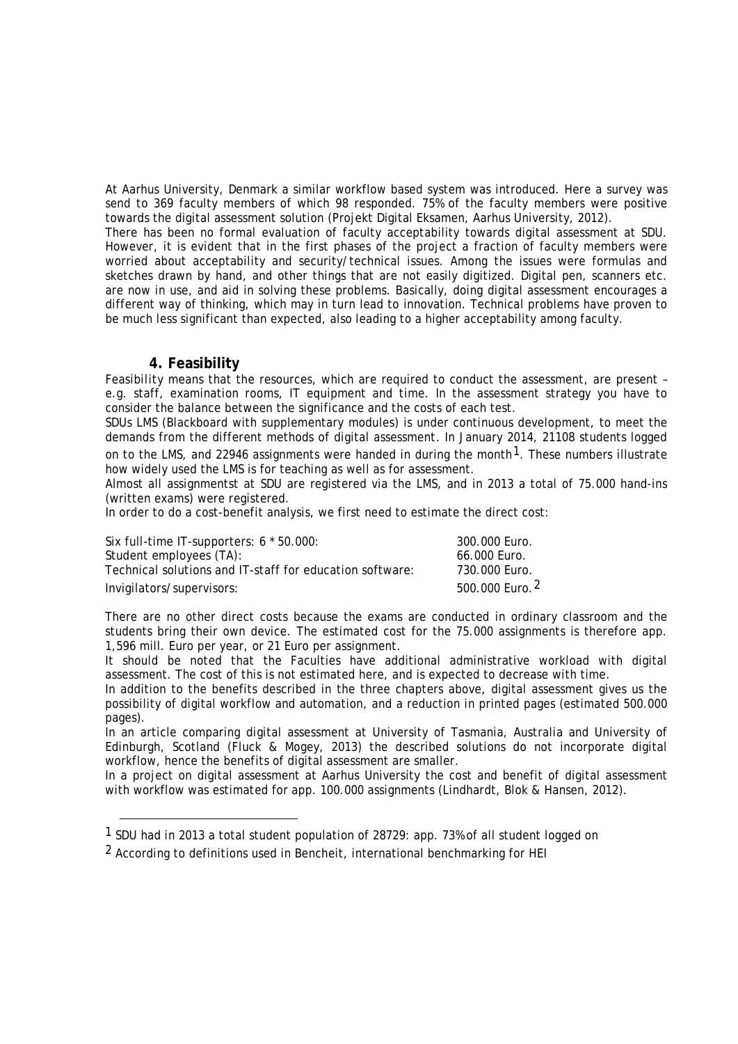At Aarhus University, Denmark a similar workflow based system was introduced. Here a survey was send to 369 faculty members of which 98 responded. 75% of the faculty members were positive towards the digital assessment solution (Projekt Digital Eksamen, Aarhus University, 2012).

There has been no formal evaluation of faculty acceptability towards digital assessment at SDU. However, it is evident that in the first phases of the project a fraction of faculty members were worried about acceptability and security/technical issues. Among the issues were formulas and sketches drawn by hand, and other things that are not easily digitized. Digital pen, scanners etc. are now in use, and aid in solving these problems. Basically, doing digital assessment encourages a different way of thinking, which may in turn lead to innovation. Technical problems have proven to be much less significant than expected, also leading to a higher acceptability among faculty.

### **4. Feasibility**

 $\overline{a}$ 

*Feasibility* means that the resources, which are required to conduct the assessment, are present – e.g. staff, examination rooms, IT equipment and time. In the assessment strategy you have to consider the balance between the significance and the costs of each test.

SDUs LMS (Blackboard with supplementary modules) is under continuous development, to meet the demands from the different methods of digital assessment. In January 2014, 21108 students logged on to the LMS, and 22946 assignments were handed in during the month<sup>[1](#page-5-0)</sup>. These numbers illustrate how widely used the LMS is for teaching as well as for assessment.

Almost all assignmentst at SDU are registered via the LMS, and in 2013 a total of 75.000 hand-ins (written exams) were registered.

In order to do a cost-benefit analysis, we first need to estimate the direct cost:

| Six full-time IT-supporters: $6 * 50.000$ :              | 300.000 Euro.              |
|----------------------------------------------------------|----------------------------|
| Student employees (TA):                                  | 66.000 Euro.               |
| Technical solutions and IT-staff for education software: | 730.000 Euro.              |
| Invigilators/supervisors:                                | 500.000 Euro. <sup>2</sup> |

There are no other direct costs because the exams are conducted in ordinary classroom and the students bring their own device. The estimated cost for the 75.000 assignments is therefore app. 1,596 mill. Euro per year, or 21 Euro per assignment.

It should be noted that the Faculties have additional administrative workload with digital assessment. The cost of this is not estimated here, and is expected to decrease with time.

In addition to the benefits described in the three chapters above, digital assessment gives us the possibility of digital workflow and automation, and a reduction in printed pages (estimated 500.000 pages).

In an article comparing digital assessment at University of Tasmania, Australia and University of Edinburgh, Scotland (Fluck & Mogey, 2013) the described solutions do not incorporate digital workflow, hence the benefits of digital assessment are smaller.

In a project on digital assessment at Aarhus University the cost and benefit of digital assessment with workflow was estimated for app. 100.000 assignments (Lindhardt, Blok & Hansen, 2012).

<span id="page-5-0"></span><sup>1</sup> SDU had in 2013 a total student population of 28729: app. 73% of all student logged on

<span id="page-5-1"></span><sup>&</sup>lt;sup>2</sup> According to definitions used in Bencheit, international benchmarking for HEI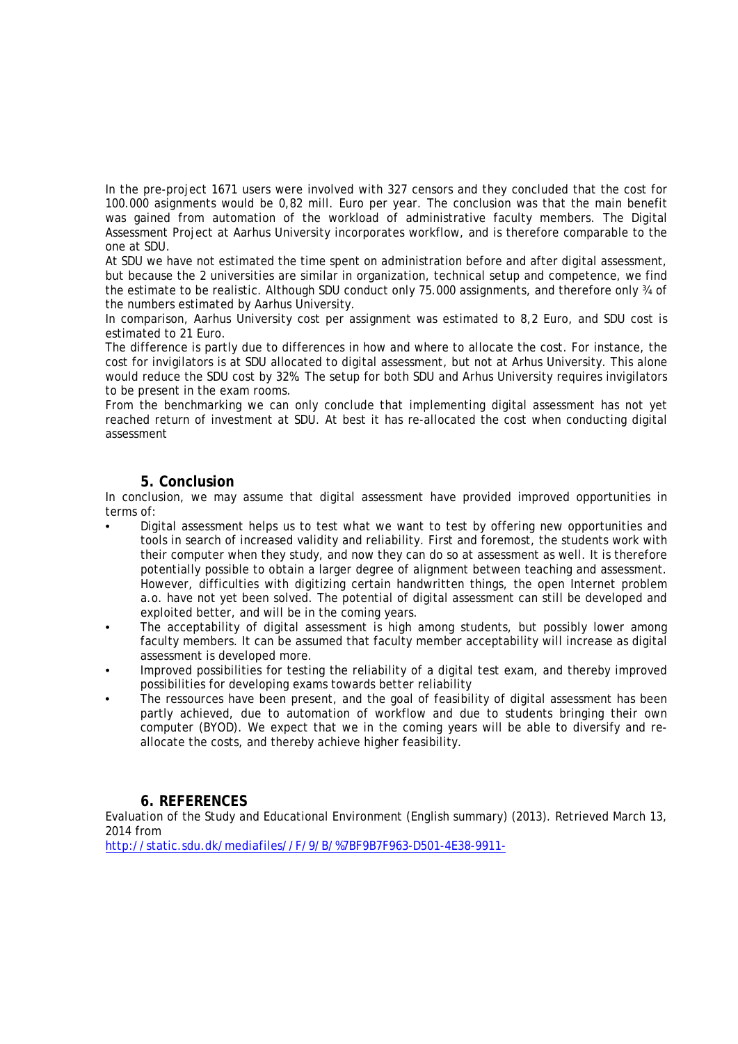In the pre-project 1671 users were involved with 327 censors and they concluded that the cost for 100.000 asignments would be 0,82 mill. Euro per year. The conclusion was that the main benefit was gained from automation of the workload of administrative faculty members. The Digital Assessment Project at Aarhus University incorporates workflow, and is therefore comparable to the one at SDU.

At SDU we have not estimated the time spent on administration before and after digital assessment, but because the 2 universities are similar in organization, technical setup and competence, we find the estimate to be realistic. Although SDU conduct only 75.000 assignments, and therefore only 34 of the numbers estimated by Aarhus University.

In comparison, Aarhus University cost per assignment was estimated to 8,2 Euro, and SDU cost is estimated to 21 Euro.

The difference is partly due to differences in how and where to allocate the cost. For instance, the cost for invigilators is at SDU allocated to digital assessment, but not at Arhus University. This alone would reduce the SDU cost by 32%. The setup for both SDU and Arhus University requires invigilators to be present in the exam rooms.

From the benchmarking we can only conclude that implementing digital assessment has not yet reached return of investment at SDU. At best it has re-allocated the cost when conducting digital assessment

### **5. Conclusion**

In conclusion, we may assume that digital assessment have provided improved opportunities in terms of:

- Digital assessment helps us to test what we want to test by offering new opportunities and tools in search of increased validity and reliability. First and foremost, the students work with their computer when they study, and now they can do so at assessment as well. It is therefore potentially possible to obtain a larger degree of alignment between teaching and assessment. However, difficulties with digitizing certain handwritten things, the open Internet problem a.o. have not yet been solved. The potential of digital assessment can still be developed and exploited better, and will be in the coming years.
- The acceptability of digital assessment is high among students, but possibly lower among faculty members. It can be assumed that faculty member acceptability will increase as digital assessment is developed more.
- Improved possibilities for testing the reliability of a digital test exam, and thereby improved possibilities for developing exams towards better reliability
- The ressources have been present, and the goal of feasibility of digital assessment has been partly achieved, due to automation of workflow and due to students bringing their own computer (BYOD). We expect that we in the coming years will be able to diversify and reallocate the costs, and thereby achieve higher feasibility.

### **6. REFERENCES**

Evaluation of the Study and Educational Environment (English summary) (2013). Retrieved March 13, 2014 from

[http://static.sdu.dk/mediafiles//F/9/B/%7BF9B7F963-D501-4E38-9911-](http://static.sdu.dk/mediafiles/F/9/B/%7BF9B7F963-D501-4E38-9911-7979A1D0607A%7DEnglish%20summary%20-%20The%20Evaluation%20of%20the%20Study%20and%20Educational%20Environments%202013.pdf)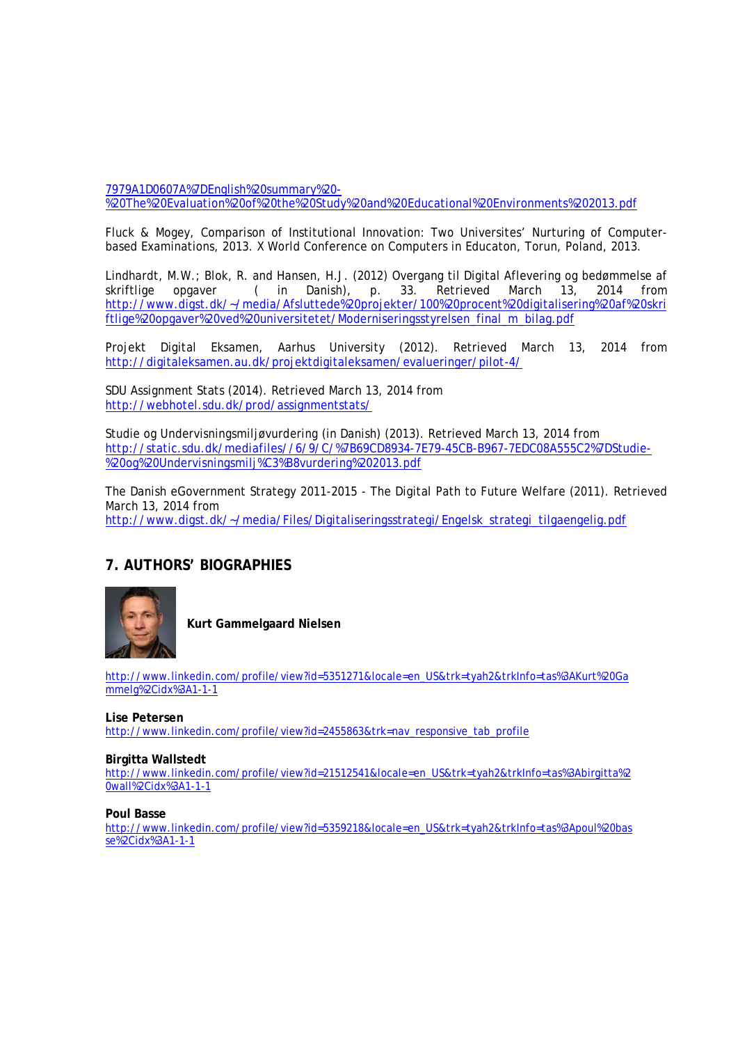[7979A1D0607A%7DEnglish%20summary%20-](http://static.sdu.dk/mediafiles/F/9/B/%7BF9B7F963-D501-4E38-9911-7979A1D0607A%7DEnglish%20summary%20-%20The%20Evaluation%20of%20the%20Study%20and%20Educational%20Environments%202013.pdf) [%20The%20Evaluation%20of%20the%20Study%20and%20Educational%20Environments%202013.pdf](http://static.sdu.dk/mediafiles/F/9/B/%7BF9B7F963-D501-4E38-9911-7979A1D0607A%7DEnglish%20summary%20-%20The%20Evaluation%20of%20the%20Study%20and%20Educational%20Environments%202013.pdf)

Fluck & Mogey, Comparison of Institutional Innovation: Two Universites' Nurturing of Computerbased Examinations, 2013. X World Conference on Computers in Educaton, Torun, Poland, 2013.

Lindhardt, M.W.; Blok, R. and Hansen, H.J. (2012) Overgang til Digital Aflevering og bedømmelse af skriftlige opgaver (in Danish), p. 33. Retrieved March 13, 2014 from ( in Danish), p. [http://www.digst.dk/~/media/Afsluttede%20projekter/100%20procent%20digitalisering%20af%20skri](http://www.digst.dk/%7E/media/Afsluttede%20projekter/100%20procent%20digitalisering%20af%20skriftlige%20opgaver%20ved%20universitetet/Moderniseringsstyrelsen_final_m_bilag.pdf) [ftlige%20opgaver%20ved%20universitetet/Moderniseringsstyrelsen\\_final\\_m\\_bilag.pdf](http://www.digst.dk/%7E/media/Afsluttede%20projekter/100%20procent%20digitalisering%20af%20skriftlige%20opgaver%20ved%20universitetet/Moderniseringsstyrelsen_final_m_bilag.pdf)

Projekt Digital Eksamen, Aarhus University (2012). Retrieved March 13, 2014 from <http://digitaleksamen.au.dk/projektdigitaleksamen/evalueringer/pilot-4/>

SDU Assignment Stats (2014). Retrieved March 13, 2014 from <http://webhotel.sdu.dk/prod/assignmentstats/>

Studie og Undervisningsmiljøvurdering (in Danish) (2013). Retrieved March 13, 2014 from [http://static.sdu.dk/mediafiles//6/9/C/%7B69CD8934-7E79-45CB-B967-7EDC08A555C2%7DStudie-](http://static.sdu.dk/mediafiles/6/9/C/%7B69CD8934-7E79-45CB-B967-7EDC08A555C2%7DStudie-%20og%20Undervisningsmilj%C3%B8vurdering%202013.pdf) [%20og%20Undervisningsmilj%C3%B8vurdering%202013.pdf](http://static.sdu.dk/mediafiles/6/9/C/%7B69CD8934-7E79-45CB-B967-7EDC08A555C2%7DStudie-%20og%20Undervisningsmilj%C3%B8vurdering%202013.pdf)

The Danish eGovernment Strategy 2011-2015 - The Digital Path to Future Welfare (2011). Retrieved March 13, 2014 from [http://www.digst.dk/~/media/Files/Digitaliseringsstrategi/Engelsk\\_strategi\\_tilgaengelig.pdf](http://www.digst.dk/%7E/media/Files/Digitaliseringsstrategi/Engelsk_strategi_tilgaengelig.pdf)

# **7. AUTHORS' BIOGRAPHIES**



**Kurt Gammelgaard Nielsen**

[http://www.linkedin.com/profile/view?id=5351271&locale=en\\_US&trk=tyah2&trkInfo=tas%3AKurt%20Ga](http://www.linkedin.com/profile/view?id=5351271&locale=en_US&trk=tyah2&trkInfo=tas%3AKurt%20Gammelg%2Cidx%3A1-1-1) [mmelg%2Cidx%3A1-1-1](http://www.linkedin.com/profile/view?id=5351271&locale=en_US&trk=tyah2&trkInfo=tas%3AKurt%20Gammelg%2Cidx%3A1-1-1)

**Lise Petersen**

[http://www.linkedin.com/profile/view?id=2455863&trk=nav\\_responsive\\_tab\\_profile](http://www.linkedin.com/profile/view?id=2455863&trk=nav_responsive_tab_profile)

#### **Birgitta Wallstedt**

[http://www.linkedin.com/profile/view?id=21512541&locale=en\\_US&trk=tyah2&trkInfo=tas%3Abirgitta%2](http://www.linkedin.com/profile/view?id=21512541&locale=en_US&trk=tyah2&trkInfo=tas%3Abirgitta%20wall%2Cidx%3A1-1-1) [0wall%2Cidx%3A1-1-1](http://www.linkedin.com/profile/view?id=21512541&locale=en_US&trk=tyah2&trkInfo=tas%3Abirgitta%20wall%2Cidx%3A1-1-1)

#### **Poul Basse**

[http://www.linkedin.com/profile/view?id=5359218&locale=en\\_US&trk=tyah2&trkInfo=tas%3Apoul%20bas](http://www.linkedin.com/profile/view?id=5359218&locale=en_US&trk=tyah2&trkInfo=tas%3Apoul%20basse%2Cidx%3A1-1-1) [se%2Cidx%3A1-1-1](http://www.linkedin.com/profile/view?id=5359218&locale=en_US&trk=tyah2&trkInfo=tas%3Apoul%20basse%2Cidx%3A1-1-1)